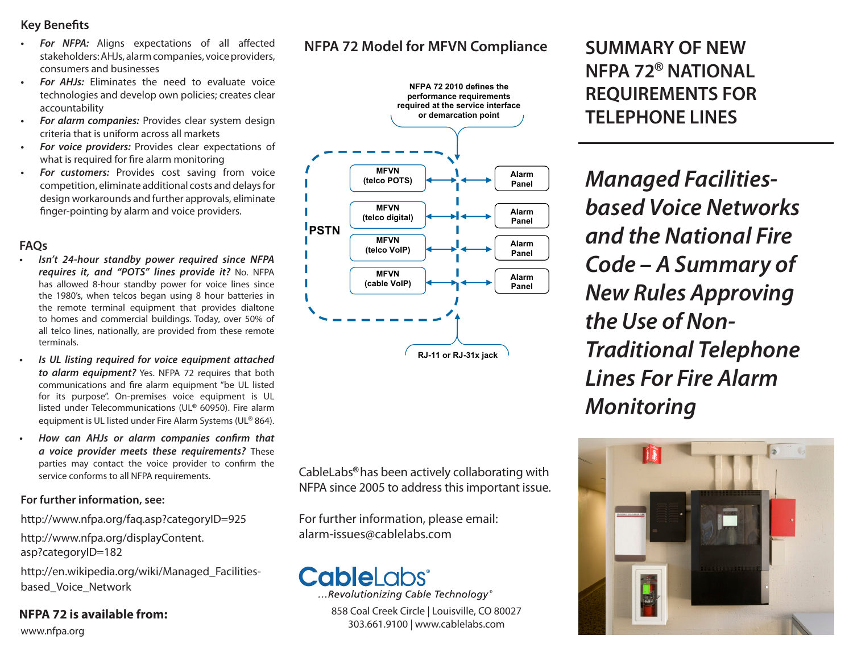### **Key Benefits**

- *For NFPA:* Aligns expectations of all affected stakeholders: AHJs, alarm companies, voice providers, consumers and businesses
- *• For AHJs:* Eliminates the need to evaluate voice technologies and develop own policies; creates clear accountability
- *• For alarm companies:* Provides clear system design criteria that is uniform across all markets
- *• For voice providers:* Provides clear expectations of what is required for fire alarm monitoring
- *For customers:* Provides cost saving from voice competition, eliminate additional costs and delays for design workarounds and further approvals, eliminate finger-pointing by alarm and voice providers.

### **FAQs**

- *• Isn't 24-hour standby power required since NFPA requires it, and "POTS" lines provide it?* No. NFPA has allowed 8-hour standby power for voice lines since the 1980's, when telcos began using 8 hour batteries in the remote terminal equipment that provides dialtone to homes and commercial buildings. Today, over 50% of all telco lines, nationally, are provided from these remote terminals.
- *• Is UL listing required for voice equipment attached to alarm equipment?* Yes. NFPA 72 requires that both communications and fire alarm equipment "be UL listed for its purpose". On-premises voice equipment is UL listed under Telecommunications (UL**®** 60950). Fire alarm equipment is UL listed under Fire Alarm Systems (UL**®** 864).
- *• How can AHJs or alarm companies confirm that a voice provider meets these requirements?* These parties may contact the voice provider to confirm the service conforms to all NFPA requirements.

### **For further information, see:**

http://www.nfpa.org/faq.asp?categoryID=925

http://www.nfpa.org/displayContent. asp?categoryID=182

http://en.wikipedia.org/wiki/Managed\_Facilitiesbased\_Voice\_Network

### **NFPA 72 is available from:**

www.nfpa.org

## **NFPA 72 Model for MFVN Compliance**



CableLabs**®** has been actively collaborating with NFPA since 2005 to address this important issue.

For further information, please email: alarm-issues@cablelabs.com

# **CableLabs**®

...Revolutionizing Cable Technology®

858 Coal Creek Circle | Louisville, CO 80027 303.661.9100 | www.cablelabs.com

# **SUMMARY OF NEW NFPA 72® NATIONAL REQUIREMENTS FOR TELEPHONE LINES**

*Managed Facilitiesbased Voice Networks and the National Fire Code – A Summary of New Rules Approving the Use of Non-Traditional Telephone Lines For Fire Alarm Monitoring*